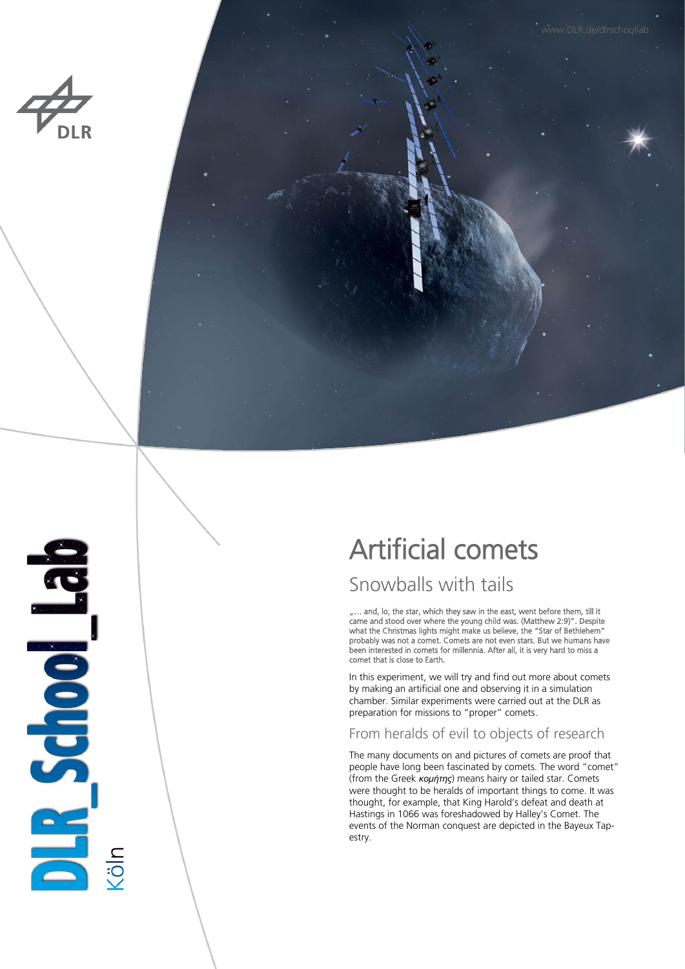

**BLIDGIDGILE** 

lo.



Artificial comets

# Snowballs with tails

.... and, lo, the star, which they saw in the east, went before them, till it came and stood over where the young child was. (Matthew 2:9)". Despite what the Christmas lights might make us believe, the "Star of Bethlehem" probably was not a comet. Comets are not even stars. But we humans have been interested in comets for millennia. After all, it is very hard to miss a comet that is close to Earth.

In this experiment, we will try and find out more about comets by making an artificial one and observing it in a simulation chamber. Similar experiments were carried out at the DLR as preparation for missions to "proper" comets.

## From heralds of evil to objects of research

The many documents on and pictures of comets are proof that people have long been fascinated by comets. The word "comet" (from the Greek *κομήτης*) means hairy or tailed star. Comets were thought to be heralds of important things to come. It was thought, for example, that King Harold's defeat and death at Hastings in 1066 was foreshadowed by Halley's Comet. The events of the Norman conquest are depicted in the Bayeux Tapestry.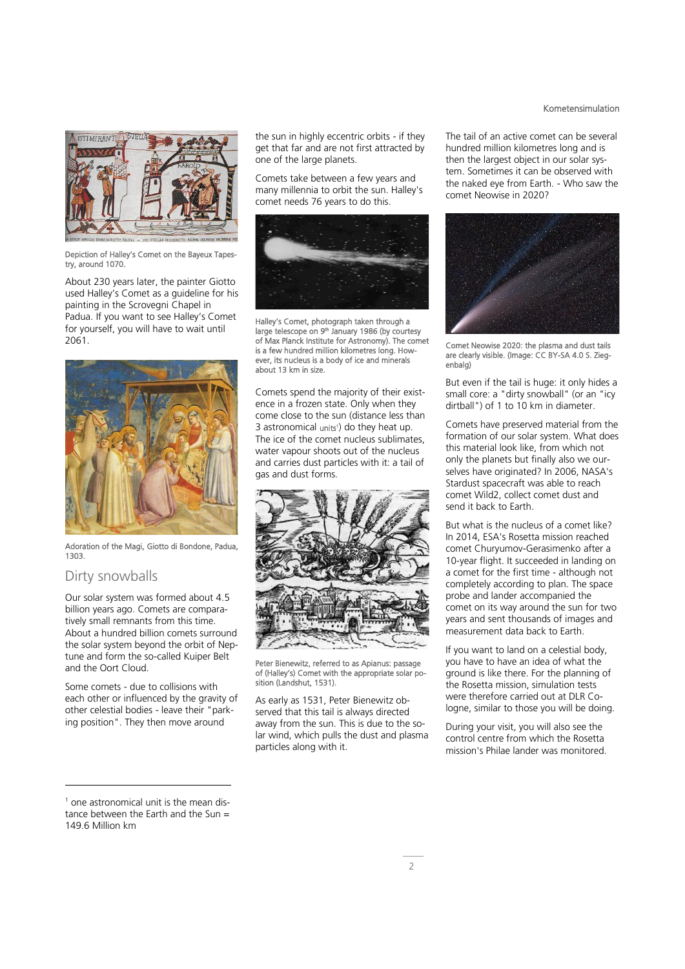# STIMIRAN"

Depiction of Halley's Comet on the Bayeux Tapestry, around 1070.

About 230 years later, the painter Giotto used Halley's Comet as a guideline for his painting in the Scrovegni Chapel in Padua. If you want to see Halley's Comet for yourself, you will have to wait until 2061.



Adoration of the Magi, Giotto di Bondone, Padua, 1303.

### Dirty snowballs

-

Our solar system was formed about 4.5 billion years ago. Comets are comparatively small remnants from this time. About a hundred billion comets surround the solar system beyond the orbit of Neptune and form the so-called Kuiper Belt and the Oort Cloud.

Some comets - due to collisions with each other or influenced by the gravity of other celestial bodies - leave their "parking position". They then move around

the sun in highly eccentric orbits - if they get that far and are not first attracted by one of the large planets.

Comets take between a few years and many millennia to orbit the sun. Halley's comet needs 76 years to do this.



Halley's Comet, photograph taken through a large telescope on 9<sup>th</sup> January 1986 (by courtesy of Max Planck Institute for Astronomy). The comet is a few hundred million kilometres long. However, its nucleus is a body of ice and minerals about 13 km in size.

Comets spend the majority of their existence in a frozen state. Only when they come close to the sun (distance less than 3 astronomical units<sup>1</sup>) do they heat up. The ice of the comet nucleus sublimates, water vapour shoots out of the nucleus and carries dust particles with it: a tail of gas and dust forms.



Peter Bienewitz, referred to as Apianus: passage of (Halley's) Comet with the appropriate solar position (Landshut, 1531).

As early as 1531, Peter Bienewitz observed that this tail is always directed away from the sun. This is due to the solar wind, which pulls the dust and plasma particles along with it.

The tail of an active comet can be several hundred million kilometres long and is then the largest object in our solar system. Sometimes it can be observed with the naked eye from Earth. - Who saw the comet Neowise in 2020?



Comet Neowise 2020: the plasma and dust tails are clearly visible. (Image: CC BY-SA 4.0 S. Ziegenbalg)

But even if the tail is huge: it only hides a small core: a "dirty snowball" (or an "icy dirtball") of 1 to 10 km in diameter.

Comets have preserved material from the formation of our solar system. What does this material look like, from which not only the planets but finally also we ourselves have originated? In 2006, NASA's Stardust spacecraft was able to reach comet Wild2, collect comet dust and send it back to Earth.

But what is the nucleus of a comet like? In 2014, ESA's Rosetta mission reached comet Churyumov-Gerasimenko after a 10-year flight. It succeeded in landing on a comet for the first time - although not completely according to plan. The space probe and lander accompanied the comet on its way around the sun for two years and sent thousands of images and measurement data back to Earth.

If you want to land on a celestial body, you have to have an idea of what the ground is like there. For the planning of the Rosetta mission, simulation tests were therefore carried out at DLR Cologne, similar to those you will be doing.

During your visit, you will also see the control centre from which the Rosetta mission's Philae lander was monitored.

### Kometensimulation

<sup>1</sup> one astronomical unit is the mean distance between the Earth and the Sun = 149.6 Million km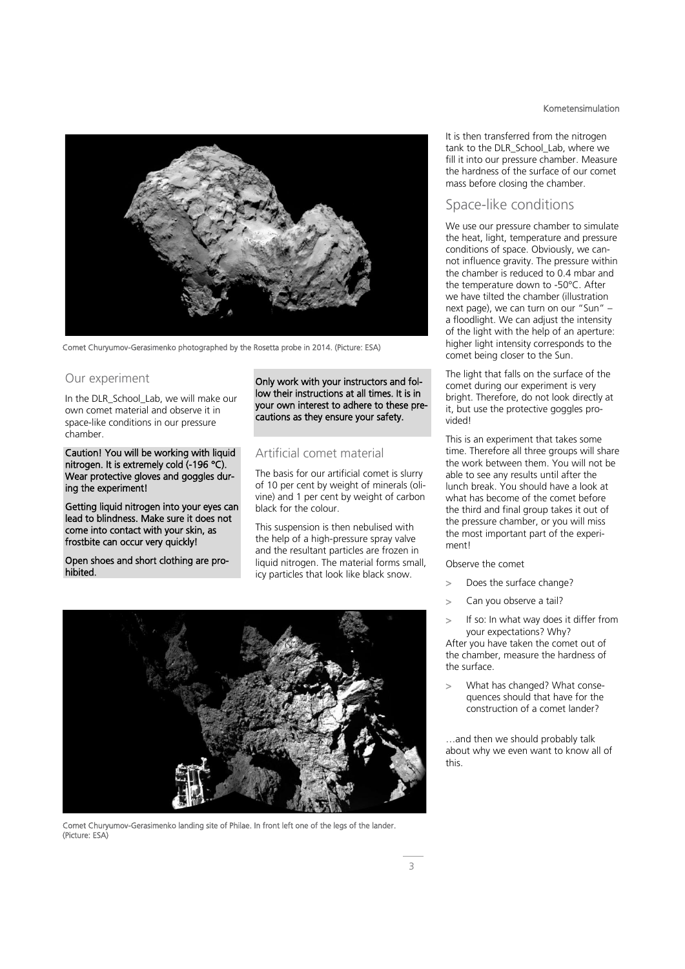

Comet Churyumov-Gerasimenko photographed by the Rosetta probe in 2014. (Picture: ESA)

### Our experiment

In the DLR School Lab, we will make our own comet material and observe it in space-like conditions in our pressure chamber.

Caution! You will be working with liquid nitrogen. It is extremely cold (-196 °C). Wear protective gloves and goggles during the experiment!

Getting liquid nitrogen into your eyes can lead to blindness. Make sure it does not come into contact with your skin, as frostbite can occur very quickly!

Open shoes and short clothing are prohibited.

Only work with your instructors and follow their instructions at all times. It is in your own interest to adhere to these precautions as they ensure your safety.

### Artificial comet material

The basis for our artificial comet is slurry of 10 per cent by weight of minerals (olivine) and 1 per cent by weight of carbon black for the colour.

This suspension is then nebulised with the help of a high-pressure spray valve and the resultant particles are frozen in liquid nitrogen. The material forms small, icy particles that look like black snow.



Comet Churyumov-Gerasimenko landing site of Philae. In front left one of the legs of the lander. (Picture: ESA)

### Kometensimulation

It is then transferred from the nitrogen tank to the DLR\_School\_Lab, where we fill it into our pressure chamber. Measure the hardness of the surface of our comet mass before closing the chamber.

### Space-like conditions

We use our pressure chamber to simulate the heat, light, temperature and pressure conditions of space. Obviously, we cannot influence gravity. The pressure within the chamber is reduced to 0.4 mbar and the temperature down to -50°C. After we have tilted the chamber (illustration next page), we can turn on our "Sun" – a floodlight. We can adjust the intensity of the light with the help of an aperture: higher light intensity corresponds to the comet being closer to the Sun.

The light that falls on the surface of the comet during our experiment is very bright. Therefore, do not look directly at it, but use the protective goggles provided!

This is an experiment that takes some time. Therefore all three groups will share the work between them. You will not be able to see any results until after the lunch break. You should have a look at what has become of the comet before the third and final group takes it out of the pressure chamber, or you will miss the most important part of the experiment!

Observe the comet

- > Does the surface change?
- > Can you observe a tail?
- If so: In what way does it differ from your expectations? Why?

After you have taken the comet out of the chamber, measure the hardness of the surface.

> What has changed? What consequences should that have for the construction of a comet lander?

…and then we should probably talk about why we even want to know all of this.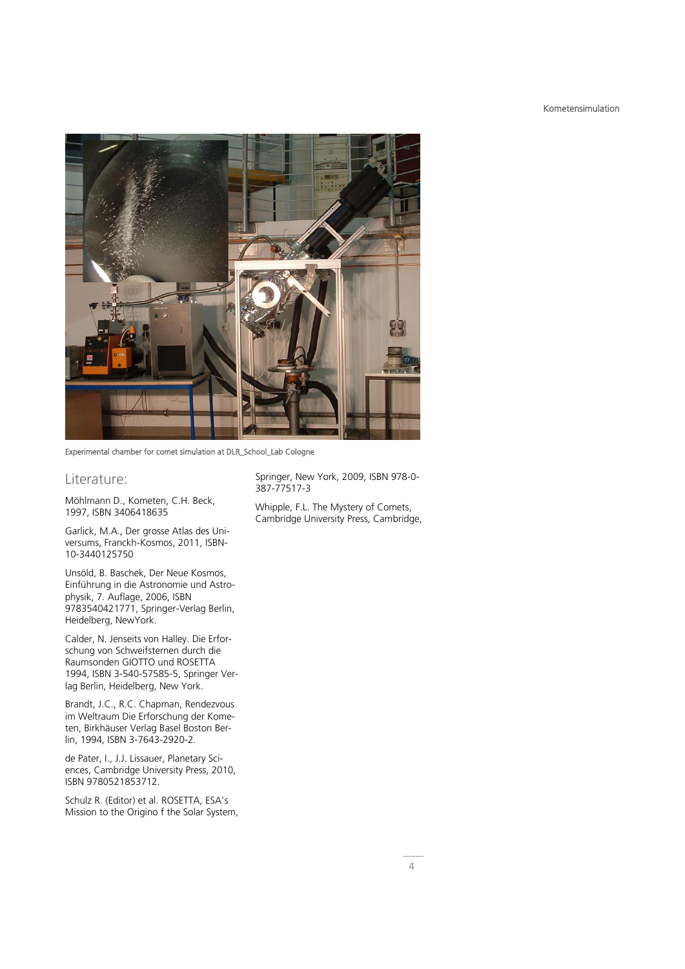### Kometensimulation



Experimental chamber for comet simulation at DLR\_School\_Lab Cologne

### Literature:

Möhlmann D., Kometen, C.H. Beck, 1997, ISBN 3406418635

Garlick, M.A., Der grosse Atlas des Universums, Franckh-Kosmos, 2011, ISBN-10-3440125750

Unsöld, B. Baschek, Der Neue Kosmos, Einführung in die Astronomie und Astrophysik, 7. Auflage, 2006, ISBN 9783540421771, Springer-Verlag Berlin, Heidelberg, NewYork.

Calder, N. Jenseits von Halley. Die Erforschung von Schweifsternen durch die Raumsonden GIOTTO und ROSETTA 1994, ISBN 3-540-57585-5, Springer Verlag Berlin, Heidelberg, New York.

Brandt, J.C., R.C. Chapman, Rendezvous im Weltraum Die Erforschung der Kometen, Birkhäuser Verlag Basel Boston Berlin, 1994, ISBN 3-7643-2920-2.

de Pater, I., J.J. Lissauer, Planetary Sciences, Cambridge University Press, 2010, ISBN 9780521853712.

Schulz R. (Editor) et al. ROSETTA, ESA's Mission to the Origino f the Solar System, Springer, New York, 2009, ISBN 978-0- 387-77517-3

Whipple, F.L. The Mystery of Comets, Cambridge University Press, Cambridge,